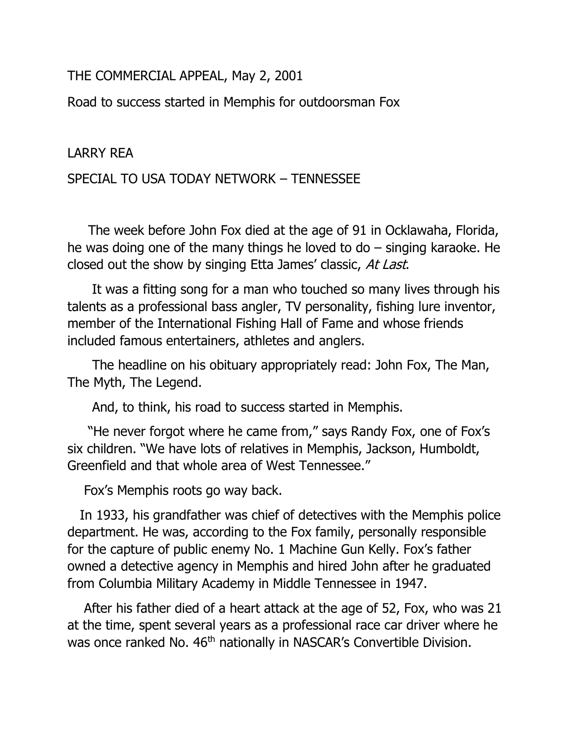THE COMMERCIAL APPEAL, May 2, 2001

Road to success started in Memphis for outdoorsman Fox

## LARRY REA

## SPECIAL TO USA TODAY NETWORK – TENNESSEE

 The week before John Fox died at the age of 91 in Ocklawaha, Florida, he was doing one of the many things he loved to  $d\sigma$  – singing karaoke. He closed out the show by singing Etta James' classic, At Last.

 It was a fitting song for a man who touched so many lives through his talents as a professional bass angler, TV personality, fishing lure inventor, member of the International Fishing Hall of Fame and whose friends included famous entertainers, athletes and anglers.

 The headline on his obituary appropriately read: John Fox, The Man, The Myth, The Legend.

And, to think, his road to success started in Memphis.

 "He never forgot where he came from," says Randy Fox, one of Fox's six children. "We have lots of relatives in Memphis, Jackson, Humboldt, Greenfield and that whole area of West Tennessee."

Fox's Memphis roots go way back.

 In 1933, his grandfather was chief of detectives with the Memphis police department. He was, according to the Fox family, personally responsible for the capture of public enemy No. 1 Machine Gun Kelly. Fox's father owned a detective agency in Memphis and hired John after he graduated from Columbia Military Academy in Middle Tennessee in 1947.

 After his father died of a heart attack at the age of 52, Fox, who was 21 at the time, spent several years as a professional race car driver where he was once ranked No. 46<sup>th</sup> nationally in NASCAR's Convertible Division.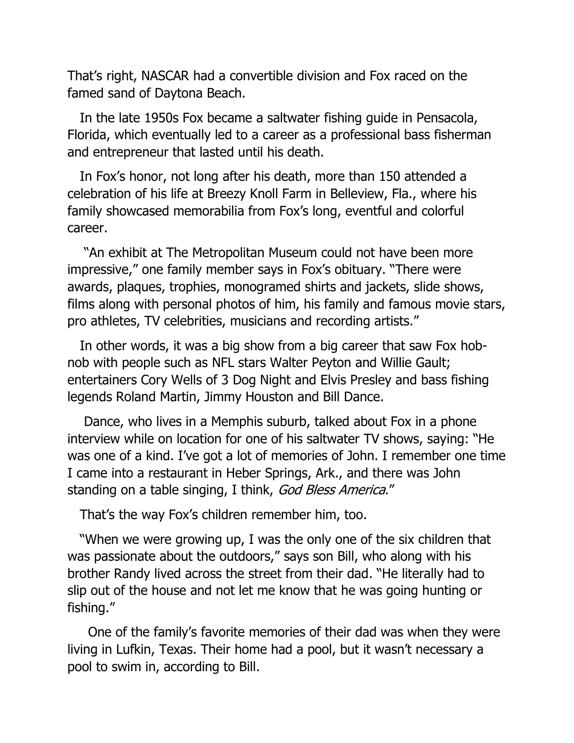That's right, NASCAR had a convertible division and Fox raced on the famed sand of Daytona Beach.

 In the late 1950s Fox became a saltwater fishing guide in Pensacola, Florida, which eventually led to a career as a professional bass fisherman and entrepreneur that lasted until his death.

 In Fox's honor, not long after his death, more than 150 attended a celebration of his life at Breezy Knoll Farm in Belleview, Fla., where his family showcased memorabilia from Fox's long, eventful and colorful career.

 "An exhibit at The Metropolitan Museum could not have been more impressive," one family member says in Fox's obituary. "There were awards, plaques, trophies, monogramed shirts and jackets, slide shows, films along with personal photos of him, his family and famous movie stars, pro athletes, TV celebrities, musicians and recording artists."

 In other words, it was a big show from a big career that saw Fox hobnob with people such as NFL stars Walter Peyton and Willie Gault; entertainers Cory Wells of 3 Dog Night and Elvis Presley and bass fishing legends Roland Martin, Jimmy Houston and Bill Dance.

 Dance, who lives in a Memphis suburb, talked about Fox in a phone interview while on location for one of his saltwater TV shows, saying: "He was one of a kind. I've got a lot of memories of John. I remember one time I came into a restaurant in Heber Springs, Ark., and there was John standing on a table singing, I think, God Bless America."

That's the way Fox's children remember him, too.

 "When we were growing up, I was the only one of the six children that was passionate about the outdoors," says son Bill, who along with his brother Randy lived across the street from their dad. "He literally had to slip out of the house and not let me know that he was going hunting or fishing."

 One of the family's favorite memories of their dad was when they were living in Lufkin, Texas. Their home had a pool, but it wasn't necessary a pool to swim in, according to Bill.